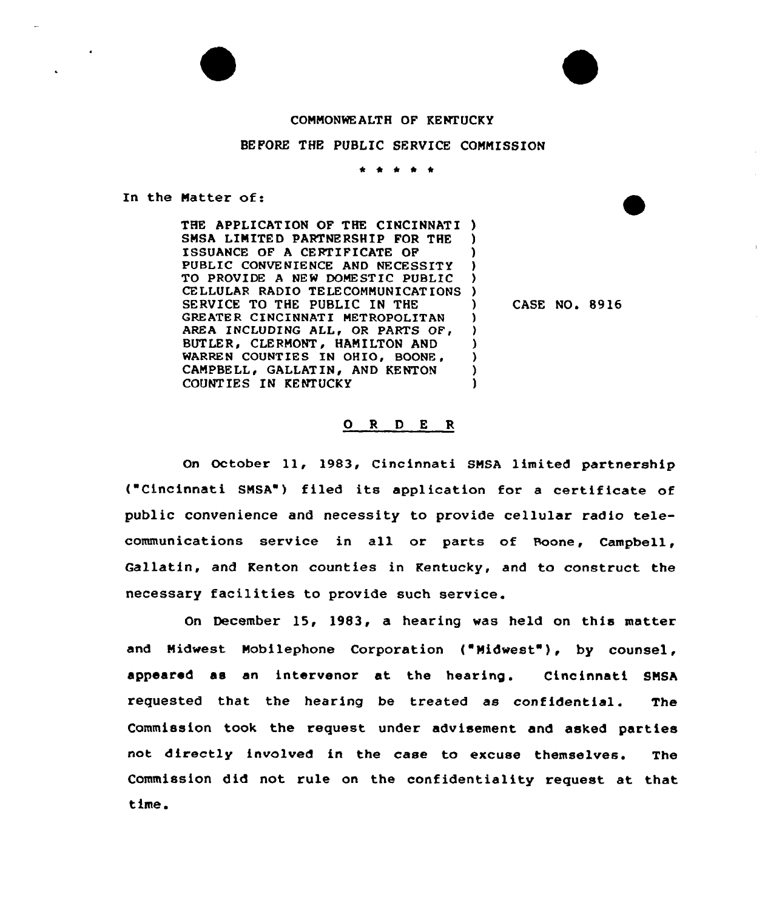## CONNONWEALTH OF KENTUCKY

# BEFORE THE PUBLIC SERVICE CONNISSION

\* \* <sup>0</sup> \*

) )

) ) ) )

In the Natter of:

THE APPLICATION OF THE CINCINNATI ) SNSA LINITED PARTNERSHIP FOR THE ISSUANCE OF A CERTIFICATE OF PUBLIC CONVE NIENCE AND NECESSITY TO PROVIDE <sup>A</sup> NEW DOMESTIC PUBLIC CELLULAR RADIO TELECOMNUNICAT IONS ) SERVICE TO THE PUBLIC IN THE GREATER CINCINNATI METROPOLITAN AREA INCLUDING ALL, OR PARTS OF, BUTLER, CLERMONT, HAMILTON AND WARREN COUNTIES IN OHIO, BOONE, CANPBELL, GALLATIN, AND KENTON COUNTIES IN KENTUCKY ) ) ) )

) CASE NO. 89 l6

#### 0 <sup>R</sup> <sup>D</sup> E <sup>R</sup>

On October 11, 1983, Cincinnati SNSA limited partnership ( Cincinnati SNSA") filed its application for <sup>a</sup> certificate of public convenience and necessity to provide cellular radio telecommunications service in all or parts of Boone, Campbell, Gallatin, and Kenton counties in Kentucky, and to construct the necessary facilities to provide such service.

On December 15, 1983, a hearing was held on this matter and Midwest Mobilephone Corporation ("Midwest"), by counsel, appeared as an intervenor at the hearing. Cincinnati SNSA requested that the hearing be treated as confidential. The Commission took the request under advisement and asked parties not directly involved in the case to excuse themselves. The Commission did not rule on the confidentiality request at that time.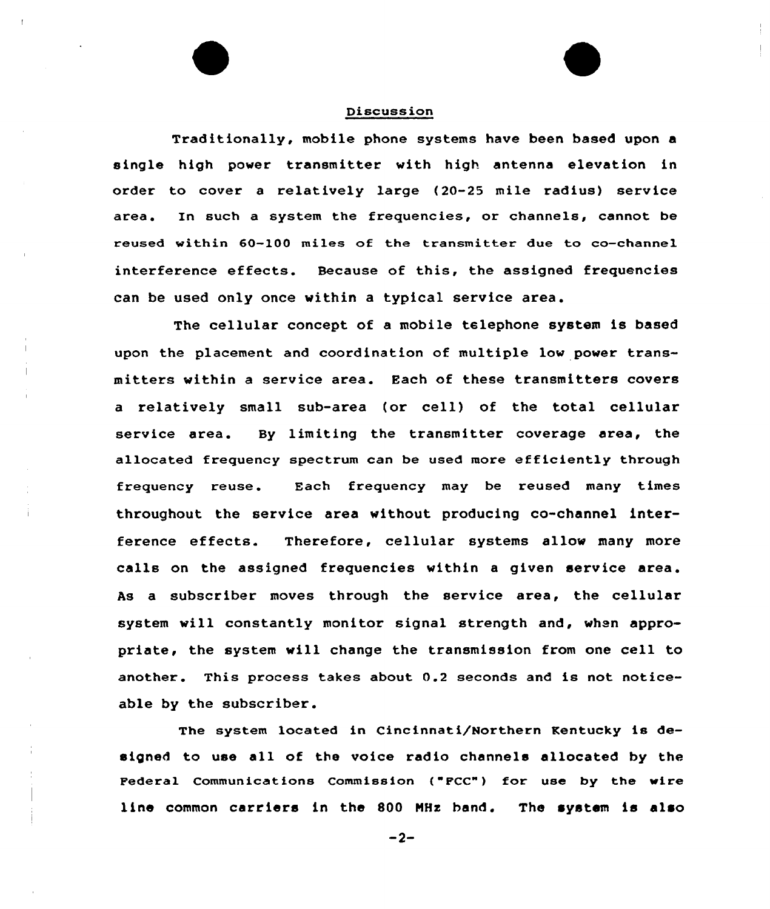### Discussion

Traditionally, mobile phone systems have been based upon a single high power transmitter with high antenna elevation in order to cover a relatively large (20-25 mile radius) service In such a system the frequencies, or channels, cannot be area. reused within 60-100 miles of the transmitter due to co-channel interference effects. Because of this, the assigned frequencies can be used only once within a typical service area.

The cellular concept of a mobile telephone system is based upon the placement and coordination of multiple low power transmitters within a service area. Each of these transmitters covers <sup>a</sup> relatively small sub-area (or cell) of the total cellular service area. By limiting the transmitter coverage area, the allocated frequency spectrum can be used more efficiently through frequency reuse. Each frequency may be reused many times throughout the service area without producing co-channel interference effects. Therefore, cellular systems allow many more calls on the assigned frequencies within a given service area. As a subscriber moves through the service area, the cellular system will constantly monitor signal strength and, when appropriate, the system will change the transmission from one cell to another. This process takes about 0.2 seconds and is not noticeable by the subscriber.

The system located in Cincinnati/Northern Kentucky is designed to use all of the voice radio channels allocated by the Federal Communications Commission ("FCC") for use by the wire line common carriers in the 800 HHx hand. The system is also

 $-2-$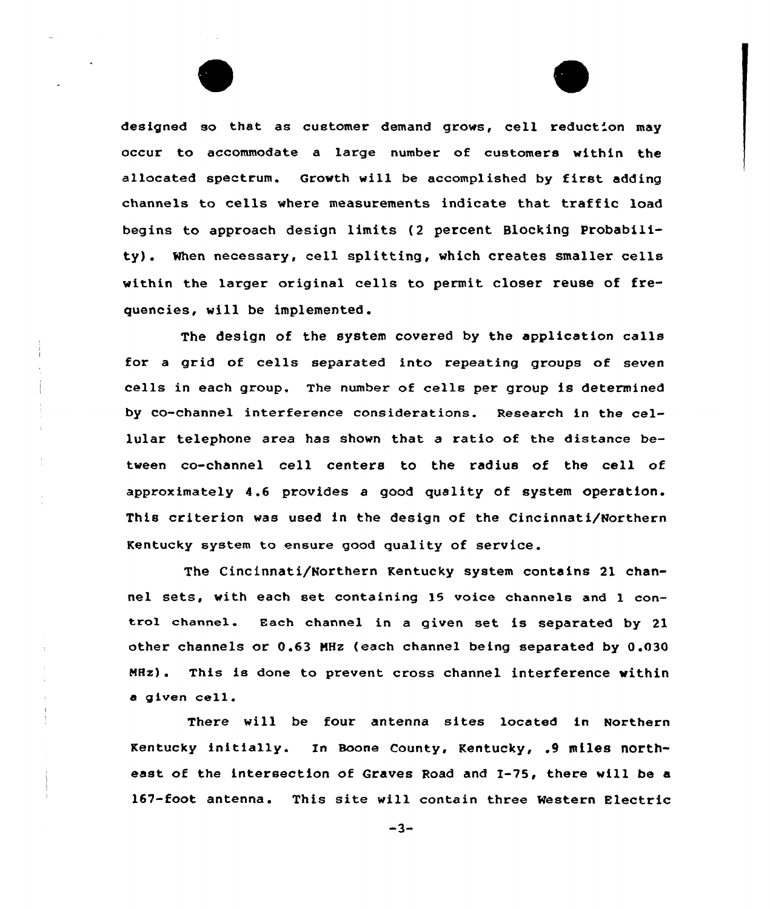designed so that as customer demand grows, cell reduction may occur to accommodate a large number of customers within the allocated spectrum. Growth will be accomplished by first adding channels to cells where measurements indicate that traffic load begins to approach design limits (2 percent Blocking Probability). When necessary, cell splitting, which creates smaller cells within the larger original cells to permit closer reuse of frequencies, will be implemented.

The design of the system covered by the application calls for <sup>a</sup> grid af cells separated into repeating groups of seven cells in each group. The number of cells per group is determined by co-channel interference considerations. Research in the cellular telephone area has shown that a ratio of the distance between co-channel cell centers to the radius of the cell of approximately 4.6 provides a good quality of system operation. This criterion was used in the design of the Cincinnati/Northern Kentucky system to ensure good quality of service.

The Cincinnati/Northern Kentucky system contains 21 channel sets, with each set containing 15 voice channels and <sup>1</sup> control channel. Each channel in <sup>a</sup> given set is separated by 21 other channels or 0.63 MHz (each channel being separated by 0.030 MHz). This is done to prevent cross channel interference within <sup>a</sup> given cell.

There will be four antenna sites located in Northern Kentucky initially. In Boone county, Kentucky, .9 miles northeast of the intersection af Graves Road and 1-75, there will be a 167-foot antenna. This site will contain three Western Electric

 $-3-$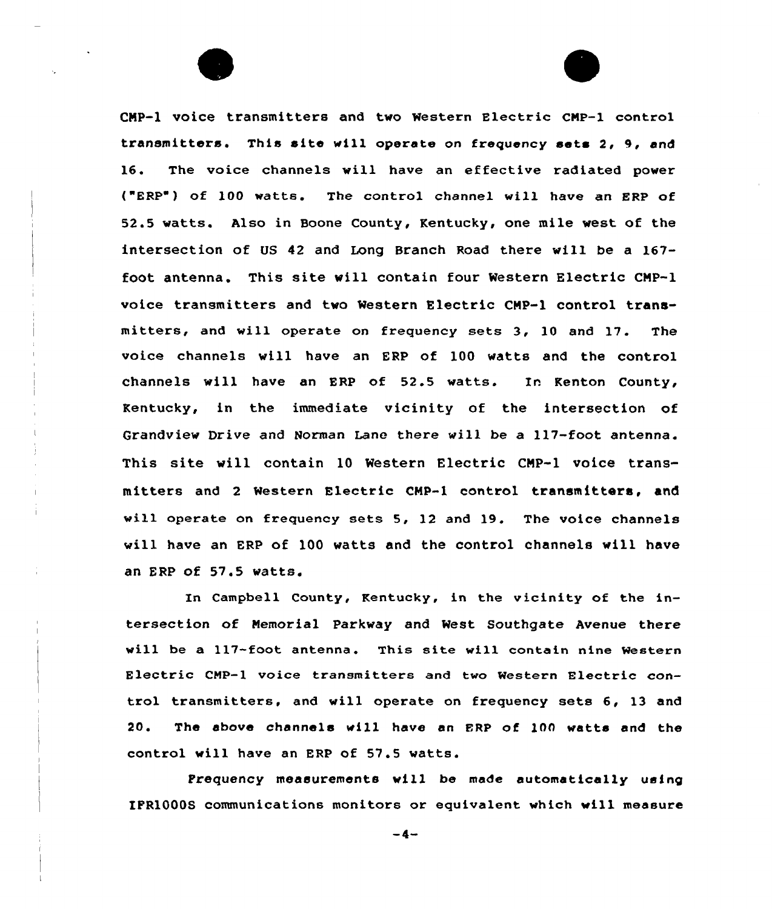CMP-1 voice transmitters and two Western Electric CMP-1 control transmitters. This site will operate on frequency sets 2, 9, and 16. The voice channels vill have an effective radiated power ("ERP") of 100 watts. The control channel will have an ERP of 52.5 watts. Also in Boone County, Kentucky, one mile vest of the intersection of US 42 and Long Branch Road there will be a 167 foot antenna. This site vill contain four Western Electric CMP-1 voice transmitters and two Western Electric CMP-1 control transmitters, and will operate on frequency sets 3, 10 and 17. The voice channels will have an ERP of 100 watts and the control channels will have an ERP of 52.5 watts. In Kenton County, Kentucky, in the immediate vicinity of the intersection of Grandview Drive and Norman Lane there will be a 117-foot antenna. This site will contain 10 Western Electric CMP-1 voice transmitters and <sup>2</sup> Western Electric CHP-1 control transmitters, and will operate on frequency sets 5, 12 and 19. The voice channels will have an ERP of 100 vatts and the control channels vill have an ERP of 57.5 vatts.

In Campbell County, Kentucky, in the vicinity of the intersection of Memorial Parkway and West Southgate Avenue there will be a 117-foot antenna. This site will contain nine Western Electric CMP-1 voice transmitters and two Western Electric control transmitters. and will operate on frequency sets 6, 13 and 20. The above channels vill have an ERP of 100 watts and the control will have an ERP of 57.5 watts.

Frequency measurements will be made automatically using IFR1000S communications monitors or equivalent which will measure

 $-4-$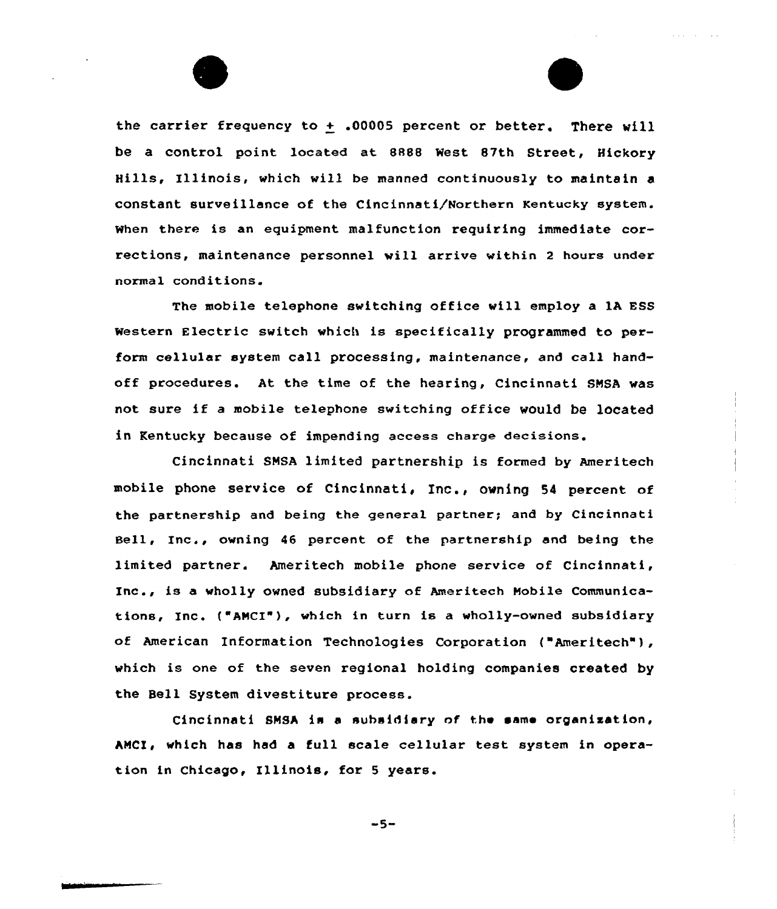the carrier frequency to  $+$  .00005 percent or better. There will be a control point located at 8888 Nest 87th Street, Hickory Hills, Illinois, which vill be manned continuously to maintain a constant surveillance af the Cincinnati/Northern Kentucky system. when there is an equipment malfunction requiring immediate corrections, maintenance personnel will arrive within <sup>2</sup> hours under normal conditions.

The mobile telephone switching office will employ a 1A ESS western Electric switch which is specifically programmed to perform cellular system call processing, maintenance, and call handoff procedures. At the time of the hearing, Cincinnati SNSA was not sure if <sup>a</sup> mobile telephone switching office would be located in Kentucky because of impending access charge decisions.

Cincinnati SNSA limited partnership is formed by Ameritech mobile phone service of Cincinnati, Ine., owning <sup>54</sup> percent of the partnership and being the general partner; and by Cincinnati Bell, Inc., owning 46 percent of the partnership and being the limited partner. Ameritech mobile phone service of Cincinnati, Inc., is a wholly owned subsidiary af Ameritech Mobile Communications, Inc. ( ANCI"), which in turn is a wholly-owned subsidiary of American Information Technologies Corporation ("Ameritech"), which is one of the seven regional holding companies created by the Bell System divestiture process.

Cincinnati SMSA is a subsidiary of the same organization, AMCI, which has had a full scale cellular test system in operation in Chicago, Illinois, for <sup>5</sup> years.

 $-5-$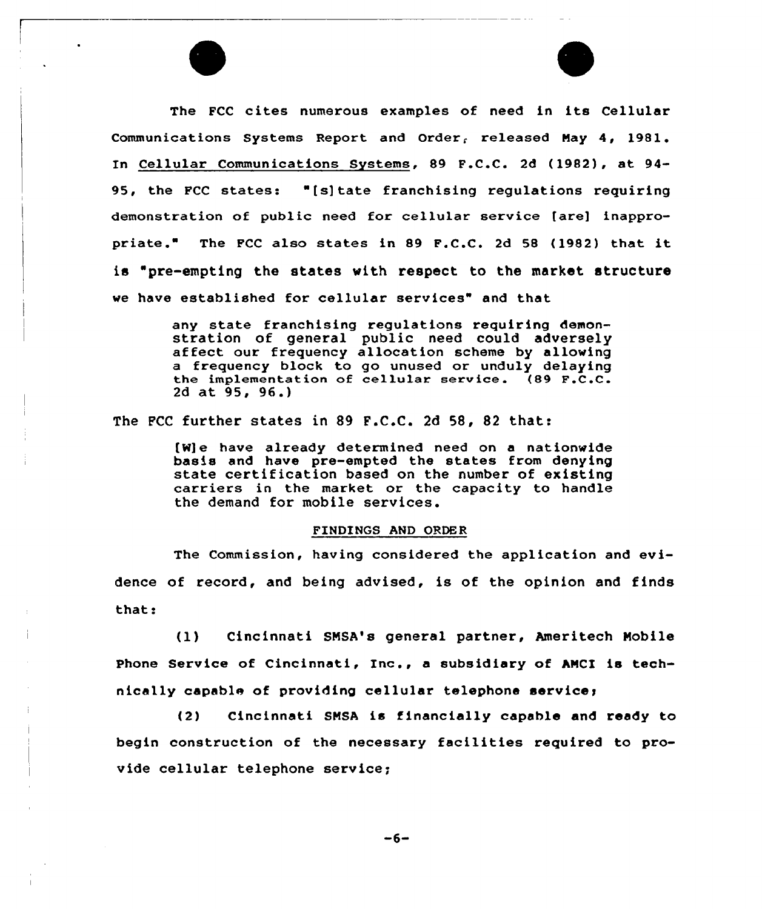The FCC cites numerous examples of need in its Cellular Communications Systems Report and Order, released May 4, 1981. Cellular Communications Systems, 89 F.C.C. 2d (1982), at 94- 95, the FCC states: "[s]tate franchising regulations requiring demonstration of public need for cellular service [are] inappropriate. The FCC also states in <sup>89</sup> F.C.C. 2d <sup>58</sup> (1982) that it is "pre-empting the states with respect to the market structure we have established for cellular services" and that

> any state franchising regulations requiring demon-<br>stration of general public need could adversely affect our frequency allocation scheme by allowing a frequency block to go unused or unduly delaying the implementation of cellular service. (89 F.C.C. 2d at 95, 96.)

The FCC further states in 89 F.C.C. 2d 58, 82 that:

(W] e have alxeady determined need on a nationwide basis and have pre-empted the states from denying state certification based on the number of existing carriexs in the market or the capacity to handle the demand for mobile services.

## FINDINGS AND ORDER

The Commission, having considered the application and evidence of record, and being advised, is of the opinion and finds that:

(1) Cincinnati SMSA's general partner, Ameritech Mobile Phone Service of Cincinnati, Inc., a subsidiary of AMCI is technically capable of providing cellular telephone service;

(2) Cincinnati SMSA is financially capable and ready to begin construction of the necessary facilities required to provide cellular telephone service;

 $-6-$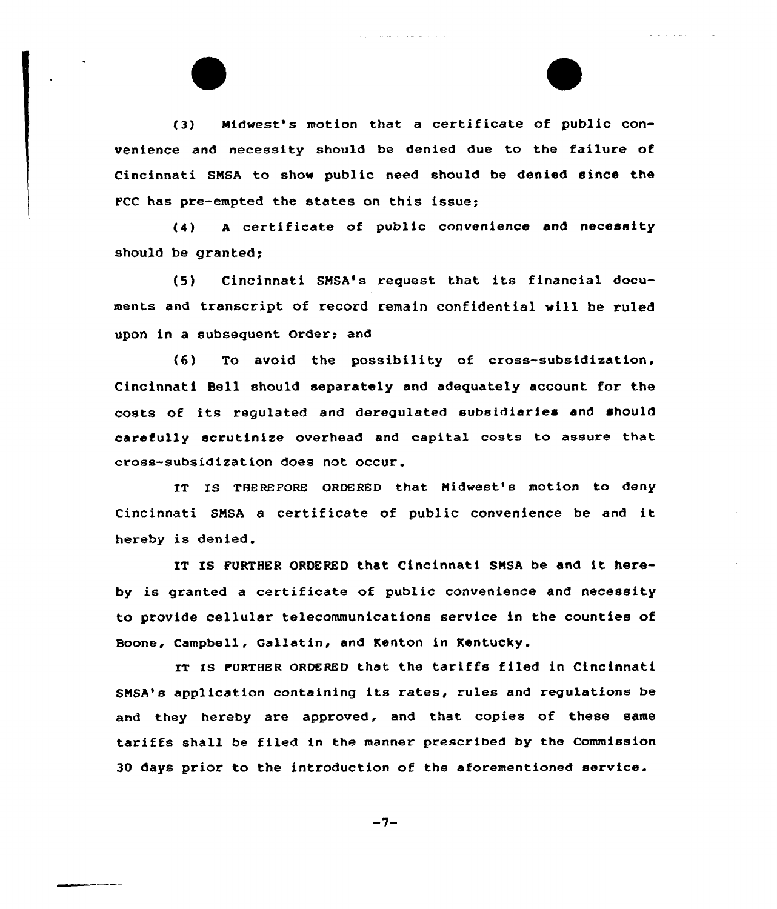(3) Midwest's motion that a certificate of public convenience and necessity should be denied due to the failuxe of Cincinnati SMSA to show public need should be denied since the PCC has pre-empted the states on this issue;

and the state of the same

(4) <sup>A</sup> certificate of public convenience and necessity should be granted;

(5) Cincinnati SHSA's request that its financial documents and transcript of recoxd remain confidential vill be ruled upon in a subsequent Order; and

(6) To avoid the possibility of cross-subsidization, Cincinnati Bell should separately and adequately account for the costs of its regulated and deregulated subsidiaries and should carefully scrutinize overhead and capital costs to assure that cross-subsidization does not occur.

IT IS THEREFORE ORDERED that Midwest's motion to deny Cincinnati SNSA <sup>a</sup> certificate of public convenience be and it hereby is denied.

IT IS FURTHER ORDERED that Cincinnati SMSA be and it hereby is granted a certificate of public convenience and necessity to provide cellular telecommunications service in the counties of Boone, Campbell, Gallatin, and Kenton in Kentucky.

IT IS FURTHER ORDERED that the tariffs filed in Cincinnati SMSA's application containing its rates, rules and regulations be and they hereby are approved, and that copies of these same tariffs shall be filed in the manner prescribed by the Commission 30 days prior to the introduction of the aforementioned service.

$$
-7-
$$